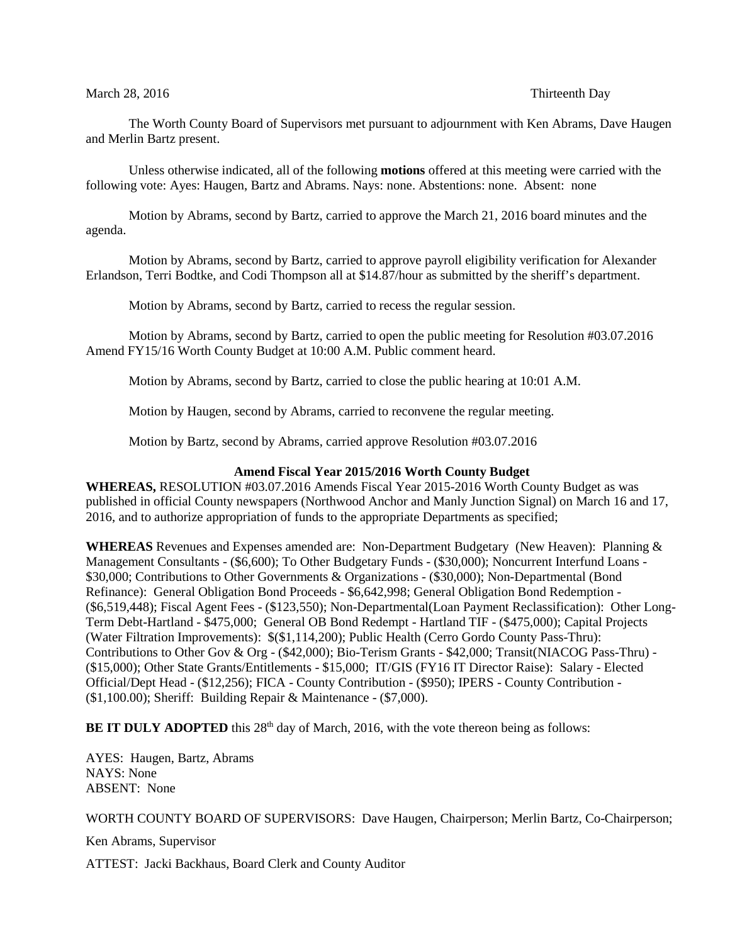## March 28, 2016 **Thirteenth Day**

The Worth County Board of Supervisors met pursuant to adjournment with Ken Abrams, Dave Haugen and Merlin Bartz present.

Unless otherwise indicated, all of the following **motions** offered at this meeting were carried with the following vote: Ayes: Haugen, Bartz and Abrams. Nays: none. Abstentions: none. Absent: none

Motion by Abrams, second by Bartz, carried to approve the March 21, 2016 board minutes and the agenda.

Motion by Abrams, second by Bartz, carried to approve payroll eligibility verification for Alexander Erlandson, Terri Bodtke, and Codi Thompson all at \$14.87/hour as submitted by the sheriff's department.

Motion by Abrams, second by Bartz, carried to recess the regular session.

Motion by Abrams, second by Bartz, carried to open the public meeting for Resolution #03.07.2016 Amend FY15/16 Worth County Budget at 10:00 A.M. Public comment heard.

Motion by Abrams, second by Bartz, carried to close the public hearing at 10:01 A.M.

Motion by Haugen, second by Abrams, carried to reconvene the regular meeting.

Motion by Bartz, second by Abrams, carried approve Resolution #03.07.2016

## **Amend Fiscal Year 2015/2016 Worth County Budget**

**WHEREAS,** RESOLUTION #03.07.2016 Amends Fiscal Year 2015-2016 Worth County Budget as was published in official County newspapers (Northwood Anchor and Manly Junction Signal) on March 16 and 17, 2016, and to authorize appropriation of funds to the appropriate Departments as specified;

**WHEREAS** Revenues and Expenses amended are: Non-Department Budgetary (New Heaven): Planning & Management Consultants - (\$6,600); To Other Budgetary Funds - (\$30,000); Noncurrent Interfund Loans - \$30,000; Contributions to Other Governments & Organizations - (\$30,000); Non-Departmental (Bond Refinance): General Obligation Bond Proceeds - \$6,642,998; General Obligation Bond Redemption - (\$6,519,448); Fiscal Agent Fees - (\$123,550); Non-Departmental(Loan Payment Reclassification): Other Long-Term Debt-Hartland - \$475,000; General OB Bond Redempt - Hartland TIF - (\$475,000); Capital Projects (Water Filtration Improvements): \$(\$1,114,200); Public Health (Cerro Gordo County Pass-Thru): Contributions to Other Gov & Org - (\$42,000); Bio-Terism Grants - \$42,000; Transit(NIACOG Pass-Thru) - (\$15,000); Other State Grants/Entitlements - \$15,000; IT/GIS (FY16 IT Director Raise): Salary - Elected Official/Dept Head - (\$12,256); FICA - County Contribution - (\$950); IPERS - County Contribution - (\$1,100.00); Sheriff: Building Repair & Maintenance - (\$7,000).

**BE IT DULY ADOPTED** this 28<sup>th</sup> day of March, 2016, with the vote thereon being as follows:

AYES: Haugen, Bartz, Abrams NAYS: None ABSENT: None

WORTH COUNTY BOARD OF SUPERVISORS: Dave Haugen, Chairperson; Merlin Bartz, Co-Chairperson;

Ken Abrams, Supervisor

ATTEST: Jacki Backhaus, Board Clerk and County Auditor